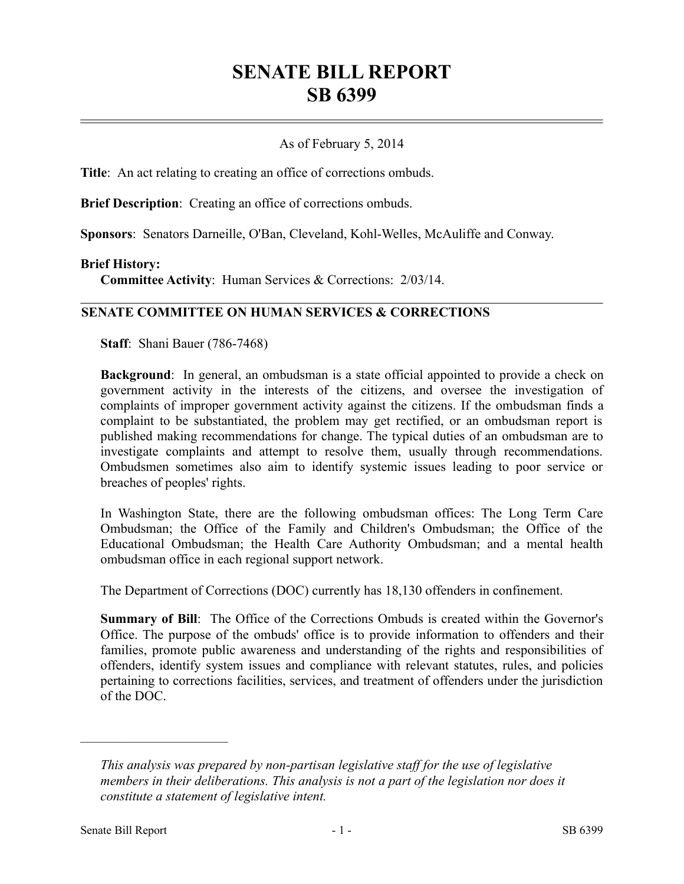# **SENATE BILL REPORT SB 6399**

## As of February 5, 2014

**Title**: An act relating to creating an office of corrections ombuds.

**Brief Description**: Creating an office of corrections ombuds.

**Sponsors**: Senators Darneille, O'Ban, Cleveland, Kohl-Welles, McAuliffe and Conway.

#### **Brief History:**

**Committee Activity**: Human Services & Corrections: 2/03/14.

### **SENATE COMMITTEE ON HUMAN SERVICES & CORRECTIONS**

**Staff**: Shani Bauer (786-7468)

**Background**: In general, an ombudsman is a state official appointed to provide a check on government activity in the interests of the citizens, and oversee the investigation of complaints of improper government activity against the citizens. If the ombudsman finds a complaint to be substantiated, the problem may get rectified, or an ombudsman report is published making recommendations for change. The typical duties of an ombudsman are to investigate complaints and attempt to resolve them, usually through recommendations. Ombudsmen sometimes also aim to identify systemic issues leading to poor service or breaches of peoples' rights.

In Washington State, there are the following ombudsman offices: The Long Term Care Ombudsman; the Office of the Family and Children's Ombudsman; the Office of the Educational Ombudsman; the Health Care Authority Ombudsman; and a mental health ombudsman office in each regional support network.

The Department of Corrections (DOC) currently has 18,130 offenders in confinement.

**Summary of Bill**: The Office of the Corrections Ombuds is created within the Governor's Office. The purpose of the ombuds' office is to provide information to offenders and their families, promote public awareness and understanding of the rights and responsibilities of offenders, identify system issues and compliance with relevant statutes, rules, and policies pertaining to corrections facilities, services, and treatment of offenders under the jurisdiction of the DOC.

––––––––––––––––––––––

*This analysis was prepared by non-partisan legislative staff for the use of legislative members in their deliberations. This analysis is not a part of the legislation nor does it constitute a statement of legislative intent.*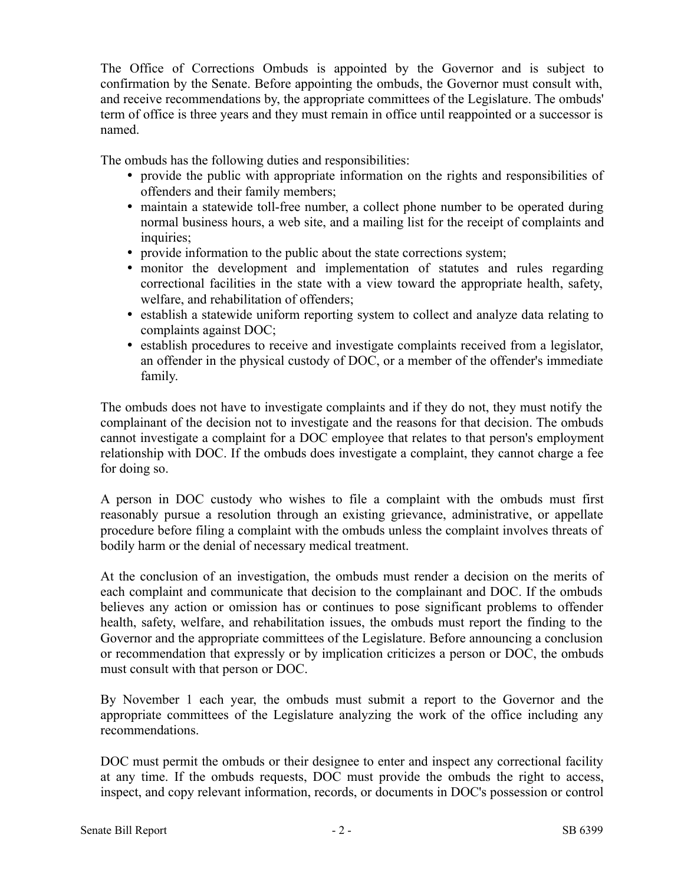The Office of Corrections Ombuds is appointed by the Governor and is subject to confirmation by the Senate. Before appointing the ombuds, the Governor must consult with, and receive recommendations by, the appropriate committees of the Legislature. The ombuds' term of office is three years and they must remain in office until reappointed or a successor is named.

The ombuds has the following duties and responsibilities:

- provide the public with appropriate information on the rights and responsibilities of offenders and their family members;
- maintain a statewide toll-free number, a collect phone number to be operated during normal business hours, a web site, and a mailing list for the receipt of complaints and inquiries;
- provide information to the public about the state corrections system;
- monitor the development and implementation of statutes and rules regarding correctional facilities in the state with a view toward the appropriate health, safety, welfare, and rehabilitation of offenders;
- establish a statewide uniform reporting system to collect and analyze data relating to complaints against DOC;
- establish procedures to receive and investigate complaints received from a legislator, an offender in the physical custody of DOC, or a member of the offender's immediate family.

The ombuds does not have to investigate complaints and if they do not, they must notify the complainant of the decision not to investigate and the reasons for that decision. The ombuds cannot investigate a complaint for a DOC employee that relates to that person's employment relationship with DOC. If the ombuds does investigate a complaint, they cannot charge a fee for doing so.

A person in DOC custody who wishes to file a complaint with the ombuds must first reasonably pursue a resolution through an existing grievance, administrative, or appellate procedure before filing a complaint with the ombuds unless the complaint involves threats of bodily harm or the denial of necessary medical treatment.

At the conclusion of an investigation, the ombuds must render a decision on the merits of each complaint and communicate that decision to the complainant and DOC. If the ombuds believes any action or omission has or continues to pose significant problems to offender health, safety, welfare, and rehabilitation issues, the ombuds must report the finding to the Governor and the appropriate committees of the Legislature. Before announcing a conclusion or recommendation that expressly or by implication criticizes a person or DOC, the ombuds must consult with that person or DOC.

By November 1 each year, the ombuds must submit a report to the Governor and the appropriate committees of the Legislature analyzing the work of the office including any recommendations.

DOC must permit the ombuds or their designee to enter and inspect any correctional facility at any time. If the ombuds requests, DOC must provide the ombuds the right to access, inspect, and copy relevant information, records, or documents in DOC's possession or control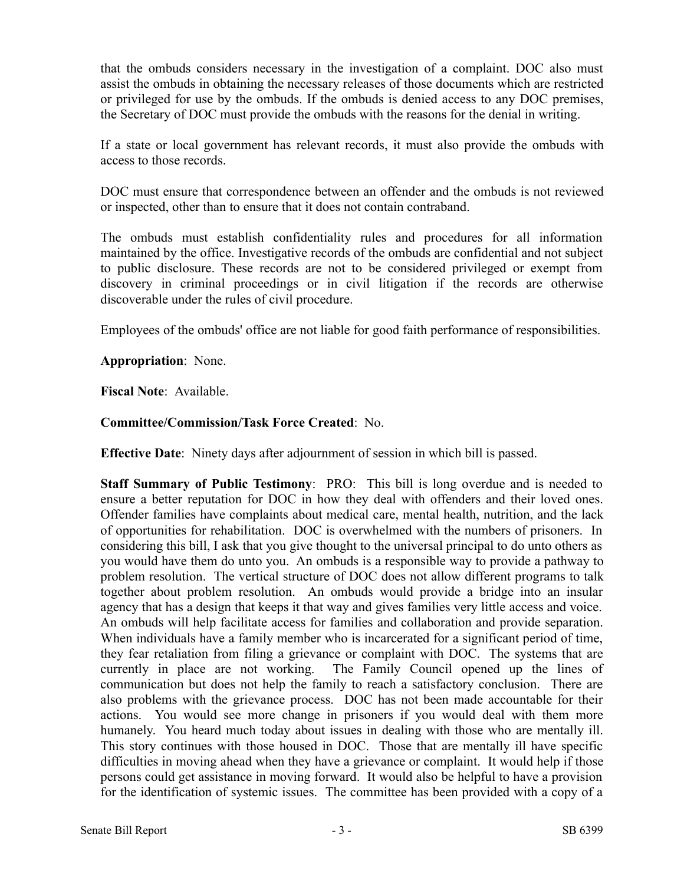that the ombuds considers necessary in the investigation of a complaint. DOC also must assist the ombuds in obtaining the necessary releases of those documents which are restricted or privileged for use by the ombuds. If the ombuds is denied access to any DOC premises, the Secretary of DOC must provide the ombuds with the reasons for the denial in writing.

If a state or local government has relevant records, it must also provide the ombuds with access to those records.

DOC must ensure that correspondence between an offender and the ombuds is not reviewed or inspected, other than to ensure that it does not contain contraband.

The ombuds must establish confidentiality rules and procedures for all information maintained by the office. Investigative records of the ombuds are confidential and not subject to public disclosure. These records are not to be considered privileged or exempt from discovery in criminal proceedings or in civil litigation if the records are otherwise discoverable under the rules of civil procedure.

Employees of the ombuds' office are not liable for good faith performance of responsibilities.

**Appropriation**: None.

**Fiscal Note**: Available.

## **Committee/Commission/Task Force Created**: No.

**Effective Date**: Ninety days after adjournment of session in which bill is passed.

**Staff Summary of Public Testimony**: PRO: This bill is long overdue and is needed to ensure a better reputation for DOC in how they deal with offenders and their loved ones. Offender families have complaints about medical care, mental health, nutrition, and the lack of opportunities for rehabilitation. DOC is overwhelmed with the numbers of prisoners. In considering this bill, I ask that you give thought to the universal principal to do unto others as you would have them do unto you. An ombuds is a responsible way to provide a pathway to problem resolution. The vertical structure of DOC does not allow different programs to talk together about problem resolution. An ombuds would provide a bridge into an insular agency that has a design that keeps it that way and gives families very little access and voice. An ombuds will help facilitate access for families and collaboration and provide separation. When individuals have a family member who is incarcerated for a significant period of time, they fear retaliation from filing a grievance or complaint with DOC. The systems that are currently in place are not working. The Family Council opened up the lines of communication but does not help the family to reach a satisfactory conclusion. There are also problems with the grievance process. DOC has not been made accountable for their actions. You would see more change in prisoners if you would deal with them more humanely. You heard much today about issues in dealing with those who are mentally ill. This story continues with those housed in DOC. Those that are mentally ill have specific difficulties in moving ahead when they have a grievance or complaint. It would help if those persons could get assistance in moving forward. It would also be helpful to have a provision for the identification of systemic issues. The committee has been provided with a copy of a